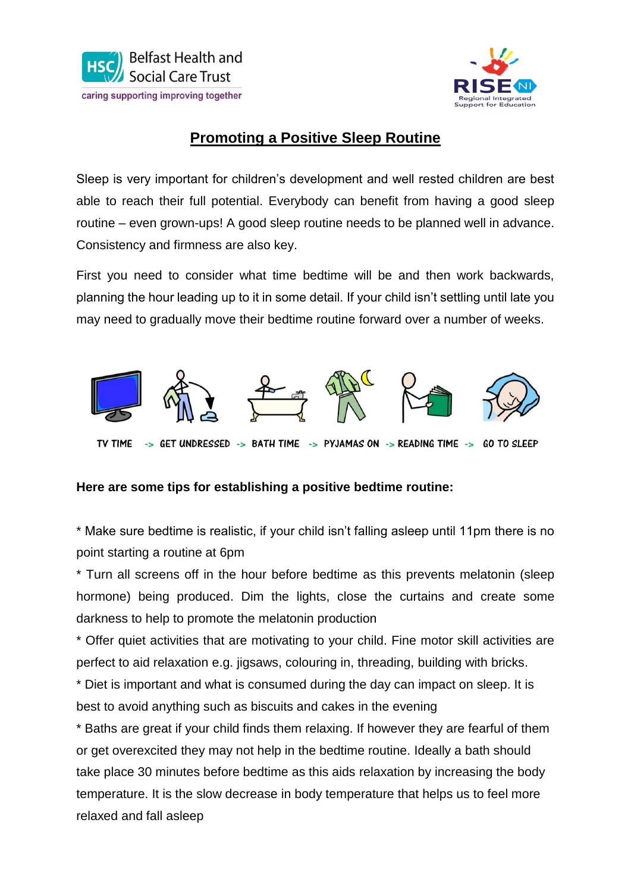



## **Promoting a Positive Sleep Routine**

Sleep is very important for children's development and well rested children are best able to reach their full potential. Everybody can benefit from having a good sleep routine – even grown-ups! A good sleep routine needs to be planned well in advance. Consistency and firmness are also key.

First you need to consider what time bedtime will be and then work backwards, planning the hour leading up to it in some detail. If your child isn't settling until late you may need to gradually move their bedtime routine forward over a number of weeks.



## **Here are some tips for establishing a positive bedtime routine:**

\* Make sure bedtime is realistic, if your child isn't falling asleep until 11pm there is no point starting a routine at 6pm

\* Turn all screens off in the hour before bedtime as this prevents melatonin (sleep hormone) being produced. Dim the lights, close the curtains and create some darkness to help to promote the melatonin production

\* Offer quiet activities that are motivating to your child. Fine motor skill activities are perfect to aid relaxation e.g. jigsaws, colouring in, threading, building with bricks.

\* Diet is important and what is consumed during the day can impact on sleep. It is best to avoid anything such as biscuits and cakes in the evening

\* Baths are great if your child finds them relaxing. If however they are fearful of them or get overexcited they may not help in the bedtime routine. Ideally a bath should take place 30 minutes before bedtime as this aids relaxation by increasing the body temperature. It is the slow decrease in body temperature that helps us to feel more relaxed and fall asleep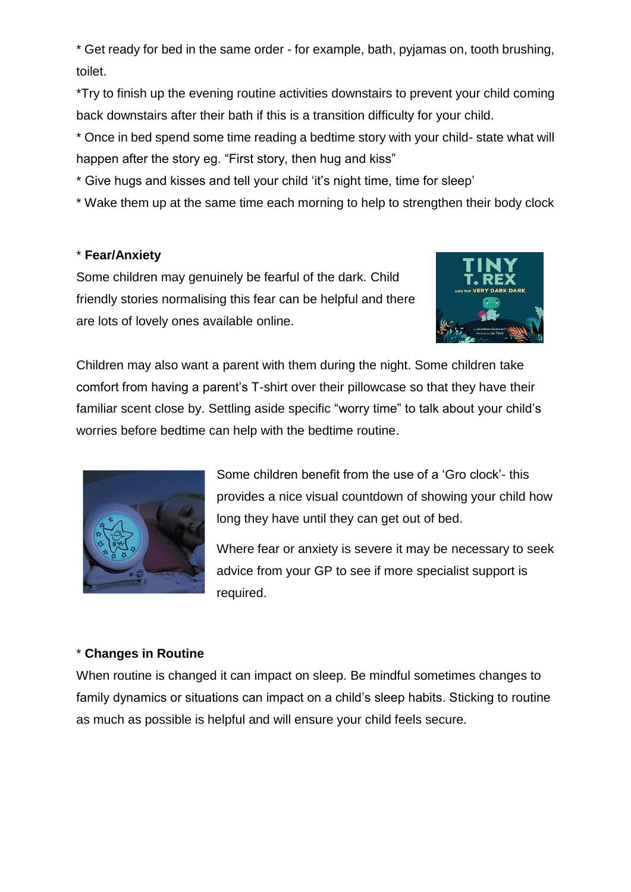\* Get ready for bed in the same order - for example, bath, pyjamas on, tooth brushing, toilet.

\*Try to finish up the evening routine activities downstairs to prevent your child coming back downstairs after their bath if this is a transition difficulty for your child.

\* Once in bed spend some time reading a bedtime story with your child- state what will happen after the story eg. "First story, then hug and kiss"

\* Give hugs and kisses and tell your child 'it's night time, time for sleep'

\* Wake them up at the same time each morning to help to strengthen their body clock

## \* **Fear/Anxiety**

Some children may genuinely be fearful of the dark. Child friendly stories normalising this fear can be helpful and there are lots of lovely ones available online.



Children may also want a parent with them during the night. Some children take comfort from having a parent's T-shirt over their pillowcase so that they have their familiar scent close by. Settling aside specific "worry time" to talk about your child's worries before bedtime can help with the bedtime routine.



Some children benefit from the use of a 'Gro clock'- this provides a nice visual countdown of showing your child how long they have until they can get out of bed.

Where fear or anxiety is severe it may be necessary to seek advice from your GP to see if more specialist support is required.

## \* **Changes in Routine**

When routine is changed it can impact on sleep. Be mindful sometimes changes to family dynamics or situations can impact on a child's sleep habits. Sticking to routine as much as possible is helpful and will ensure your child feels secure.